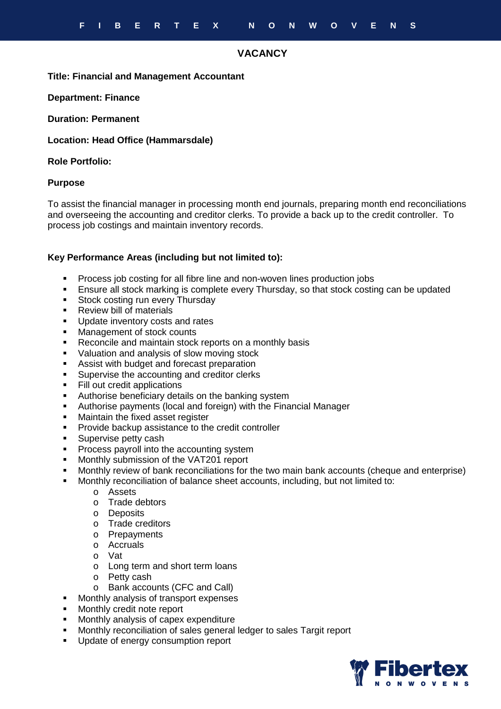# **VACANCY**

#### **Title: Financial and Management Accountant**

**Department: Finance** 

**Duration: Permanent** 

**Location: Head Office (Hammarsdale)** 

### **Role Portfolio:**

#### **Purpose**

To assist the financial manager in processing month end journals, preparing month end reconciliations and overseeing the accounting and creditor clerks. To provide a back up to the credit controller. To process job costings and maintain inventory records.

## **Key Performance Areas (including but not limited to):**

- Process job costing for all fibre line and non-woven lines production jobs
- **Ensure all stock marking is complete every Thursday, so that stock costing can be updated**
- **Stock costing run every Thursday**
- Review bill of materials
- **Update inventory costs and rates**
- **Management of stock counts**
- Reconcile and maintain stock reports on a monthly basis
- Valuation and analysis of slow moving stock
- **Assist with budget and forecast preparation**
- **Supervise the accounting and creditor clerks**
- **Fill out credit applications**
- **Authorise beneficiary details on the banking system**
- Authorise payments (local and foreign) with the Financial Manager
- **Maintain the fixed asset register**
- **Provide backup assistance to the credit controller**
- **Supervise petty cash**
- **Process payroll into the accounting system**
- **Monthly submission of the VAT201 report**
- Monthly review of bank reconciliations for the two main bank accounts (cheque and enterprise)
- Monthly reconciliation of balance sheet accounts, including, but not limited to:
	- o Assets
	- o Trade debtors
	- o Deposits
	- o Trade creditors
	- o Prepayments
	- o Accruals
	- o Vat
	- o Long term and short term loans
	- o Petty cash
	- o Bank accounts (CFC and Call)
- Monthly analysis of transport expenses
- Monthly credit note report
- Monthly analysis of capex expenditure
- Monthly reconciliation of sales general ledger to sales Targit report
- Update of energy consumption report